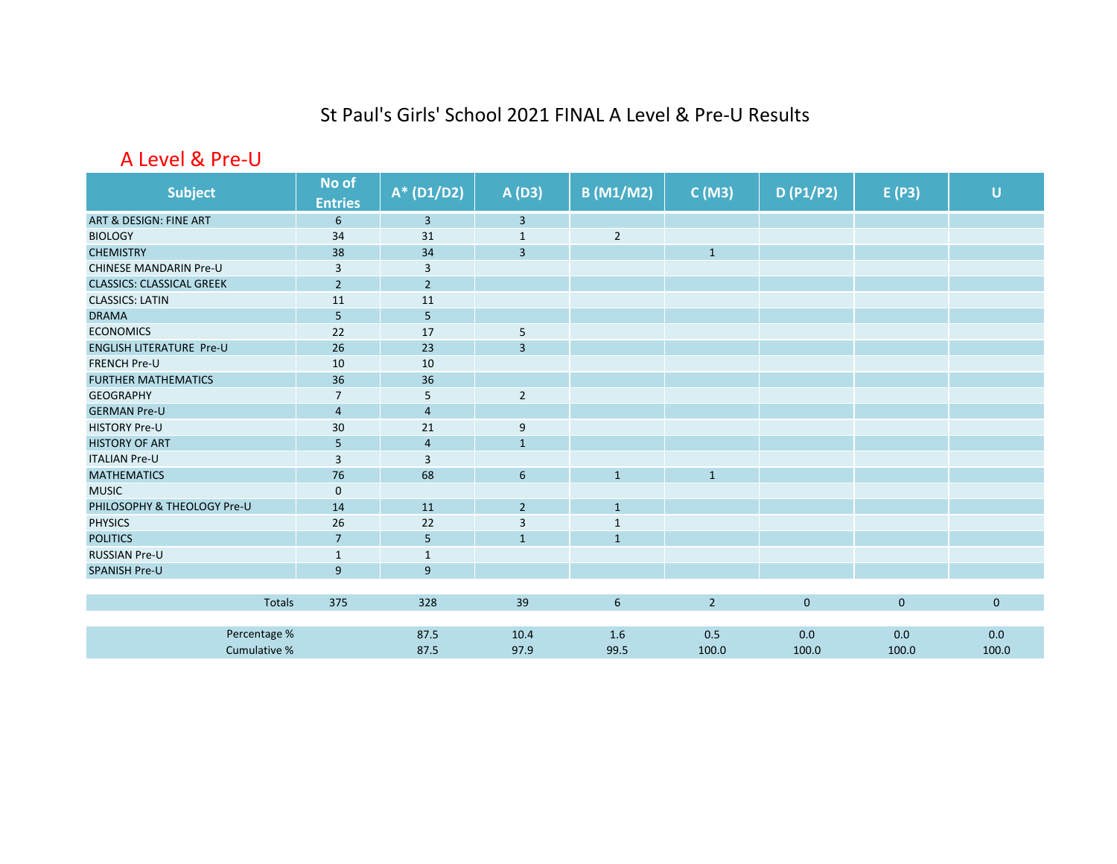## St Paul's Girls' School 2021 FINAL A Level & Pre‐U Results

## A Level & Pre‐U

| <b>Subject</b>                   | No of          | $A* (D1/D2)$   | A (D3)         | <b>B</b> (M1/M2) | C(M3)        | D(P1/P2)     | E(P3)       | $\cup$       |
|----------------------------------|----------------|----------------|----------------|------------------|--------------|--------------|-------------|--------------|
|                                  | <b>Entries</b> |                |                |                  |              |              |             |              |
| ART & DESIGN: FINE ART           | 6              | $\overline{3}$ | $\mathbf{3}$   |                  |              |              |             |              |
| <b>BIOLOGY</b>                   | 34             | 31             | $1\,$          | $\sqrt{2}$       |              |              |             |              |
| <b>CHEMISTRY</b>                 | 38             | 34             | $\overline{3}$ |                  | $\mathbf{1}$ |              |             |              |
| <b>CHINESE MANDARIN Pre-U</b>    | $\overline{3}$ | 3              |                |                  |              |              |             |              |
| <b>CLASSICS: CLASSICAL GREEK</b> | $\overline{2}$ | $\overline{2}$ |                |                  |              |              |             |              |
| <b>CLASSICS: LATIN</b>           | 11             | 11             |                |                  |              |              |             |              |
| <b>DRAMA</b>                     | 5              | $5\phantom{.}$ |                |                  |              |              |             |              |
| <b>ECONOMICS</b>                 | 22             | 17             | 5              |                  |              |              |             |              |
| <b>ENGLISH LITERATURE Pre-U</b>  | 26             | 23             | $\overline{3}$ |                  |              |              |             |              |
| <b>FRENCH Pre-U</b>              | 10             | 10             |                |                  |              |              |             |              |
| <b>FURTHER MATHEMATICS</b>       | 36             | 36             |                |                  |              |              |             |              |
| <b>GEOGRAPHY</b>                 | $\overline{7}$ | 5              | $\overline{2}$ |                  |              |              |             |              |
| <b>GERMAN Pre-U</b>              | $\overline{4}$ | $\overline{4}$ |                |                  |              |              |             |              |
| <b>HISTORY Pre-U</b>             | 30             | 21             | 9              |                  |              |              |             |              |
| <b>HISTORY OF ART</b>            | 5              | $\overline{4}$ | $\mathbf{1}$   |                  |              |              |             |              |
| <b>ITALIAN Pre-U</b>             | $\overline{3}$ | 3              |                |                  |              |              |             |              |
| <b>MATHEMATICS</b>               | 76             | 68             | $6\phantom{1}$ | $\mathbf{1}$     | $\mathbf{1}$ |              |             |              |
| <b>MUSIC</b>                     | $\mathbf 0$    |                |                |                  |              |              |             |              |
| PHILOSOPHY & THEOLOGY Pre-U      | 14             | 11             | $\overline{2}$ | $\mathbf{1}$     |              |              |             |              |
| <b>PHYSICS</b>                   | 26             | 22             | 3              | $\mathbf 1$      |              |              |             |              |
| <b>POLITICS</b>                  | $\overline{7}$ | 5              | $\mathbf{1}$   | $\mathbf{1}$     |              |              |             |              |
| <b>RUSSIAN Pre-U</b>             | $\mathbf{1}$   | $\mathbf{1}$   |                |                  |              |              |             |              |
| <b>SPANISH Pre-U</b>             | $\overline{9}$ | 9              |                |                  |              |              |             |              |
|                                  |                |                |                |                  |              |              |             |              |
| Totals                           | 375            | 328            | 39             | 6                | $2^{\circ}$  | $\mathbf{0}$ | $\mathbf 0$ | $\mathbf{0}$ |
|                                  |                |                |                |                  |              |              |             |              |
| Percentage %                     |                | 87.5           | 10.4           | 1.6              | 0.5          | 0.0          | 0.0         | 0.0          |
| Cumulative %                     |                | 87.5           | 97.9           | 99.5             | 100.0        | 100.0        | 100.0       | 100.0        |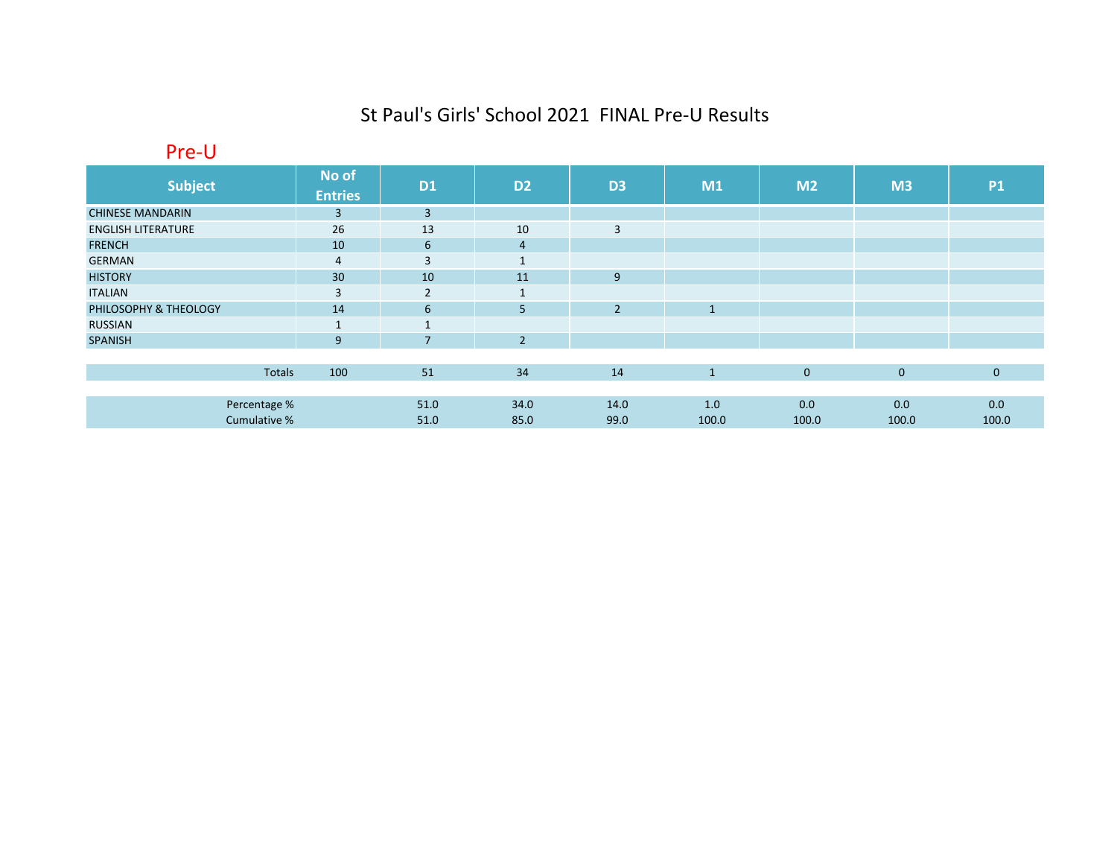## St Paul's Girls' School 2021 FINAL Pre‐U Results

Pre‐U

| <b>Subject</b>            | No of<br><b>Entries</b> | <b>D1</b>       | D <sub>2</sub>    | D <sub>3</sub> | M1           | M <sub>2</sub> | M3          | <b>P1</b>    |
|---------------------------|-------------------------|-----------------|-------------------|----------------|--------------|----------------|-------------|--------------|
| <b>CHINESE MANDARIN</b>   | $\overline{3}$          | $\overline{3}$  |                   |                |              |                |             |              |
| <b>ENGLISH LITERATURE</b> | 26                      | 13              | 10                | 3              |              |                |             |              |
| <b>FRENCH</b>             | 10                      | $6\overline{6}$ | $\overline{4}$    |                |              |                |             |              |
| <b>GERMAN</b>             | $\overline{4}$          | 3               | $\mathbf{A}$      |                |              |                |             |              |
| <b>HISTORY</b>            | 30 <sup>°</sup>         | 10              | 11                | 9              |              |                |             |              |
| <b>ITALIAN</b>            | $\overline{3}$          | $\overline{2}$  | $\mathbf{1}$<br>Ŧ |                |              |                |             |              |
| PHILOSOPHY & THEOLOGY     | 14                      | $6\overline{6}$ | 5                 | $\overline{2}$ | $\mathbf{1}$ |                |             |              |
| <b>RUSSIAN</b>            | $\mathbf{1}$            | $\mathbf{1}$    |                   |                |              |                |             |              |
| <b>SPANISH</b>            | 9                       | $\overline{7}$  | $\overline{2}$    |                |              |                |             |              |
|                           |                         |                 |                   |                |              |                |             |              |
| Totals                    | 100                     | 51              | 34                | 14             | $\mathbf{1}$ | $\mathbf 0$    | $\mathbf 0$ | $\mathbf{0}$ |
|                           |                         |                 |                   |                |              |                |             |              |
| Percentage %              |                         | 51.0            | 34.0              | 14.0           | 1.0          | 0.0            | 0.0         | 0.0          |
| Cumulative %              |                         | 51.0            | 85.0              | 99.0           | 100.0        | 100.0          | 100.0       | 100.0        |